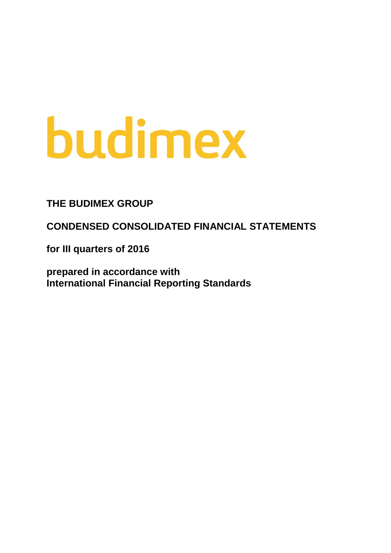# budimex

# **THE BUDIMEX GROUP**

**CONDENSED CONSOLIDATED FINANCIAL STATEMENTS**

**for III quarters of 2016**

**prepared in accordance with International Financial Reporting Standards**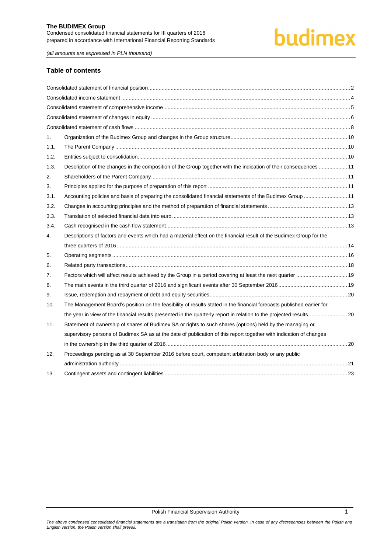# budimex

*(all amounts are expressed in PLN thousand)*

#### **Table of contents**

| 1.   |                                                                                                                       |  |
|------|-----------------------------------------------------------------------------------------------------------------------|--|
| 1.1. |                                                                                                                       |  |
| 1.2. |                                                                                                                       |  |
| 1.3. | Description of the changes in the composition of the Group together with the indication of their consequences  11     |  |
| 2.   |                                                                                                                       |  |
| 3.   |                                                                                                                       |  |
| 3.1. | Accounting policies and basis of preparing the consolidated financial statements of the Budimex Group  11             |  |
| 3.2. |                                                                                                                       |  |
| 3.3. |                                                                                                                       |  |
| 3.4. |                                                                                                                       |  |
| 4.   | Descriptions of factors and events which had a material effect on the financial result of the Budimex Group for the   |  |
|      |                                                                                                                       |  |
| 5.   |                                                                                                                       |  |
| 6.   |                                                                                                                       |  |
| 7.   | Factors which will affect results achieved by the Group in a period covering at least the next quarter  19            |  |
| 8.   |                                                                                                                       |  |
| 9.   |                                                                                                                       |  |
| 10.  | The Management Board's position on the feasibility of results stated in the financial forecasts published earlier for |  |
|      |                                                                                                                       |  |
| 11.  | Statement of ownership of shares of Budimex SA or rights to such shares (options) held by the managing or             |  |
|      | supervisory persons of Budimex SA as at the date of publication of this report together with indication of changes    |  |
|      |                                                                                                                       |  |
| 12.  | Proceedings pending as at 30 September 2016 before court, competent arbitration body or any public                    |  |
|      |                                                                                                                       |  |
| 13.  |                                                                                                                       |  |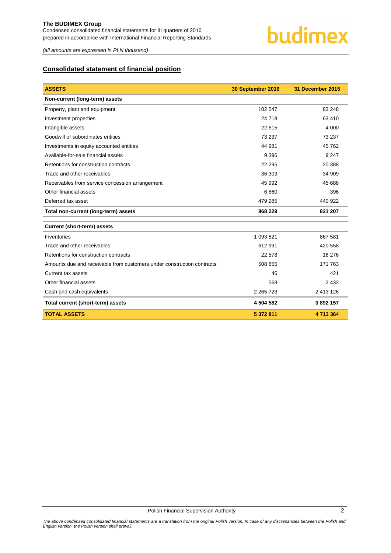# <span id="page-2-0"></span>**Consolidated statement of financial position**

| <b>ASSETS</b>                                                          | 30 September 2016 | 31 December 2015 |
|------------------------------------------------------------------------|-------------------|------------------|
| Non-current (long-term) assets                                         |                   |                  |
| Property, plant and equipment                                          | 102 547           | 83 248           |
| Investment properties                                                  | 24 718            | 63 410           |
| Intangible assets                                                      | 22 615            | 4 0 0 0          |
| Goodwill of subordinates entities                                      | 73 237            | 73 237           |
| Investments in equity accounted entities                               | 44 981            | 45 762           |
| Available-for-sale financial assets                                    | 9 3 9 6           | 9 2 4 7          |
| Retentions for construction contracts                                  | 22 295            | 20 388           |
| Trade and other receivables                                            | 36 30 3           | 34 909           |
| Receivables from service concession arrangement                        | 45 992            | 45 688           |
| Other financial assets                                                 | 6860              | 396              |
| Deferred tax asset                                                     | 479 285           | 440 922          |
| Total non-current (long-term) assets                                   | 868 229           | 821 207          |
| <b>Current (short-term) assets</b>                                     |                   |                  |
| Inventories                                                            | 1 093 821         | 867 581          |
| Trade and other receivables                                            | 612 991           | 420 558          |
| Retentions for construction contracts                                  | 22 578            | 16 276           |
| Amounts due and receivable from customers under construction contracts | 508 855           | 171 763          |
| Current tax assets                                                     | 46                | 421              |
| Other financial assets                                                 | 568               | 2 4 3 2          |
| Cash and cash equivalents                                              | 2 2 6 7 2 3       | 2 413 126        |
| Total current (short-term) assets                                      | 4 504 582         | 3892157          |
| <b>TOTAL ASSETS</b>                                                    | 5 372 811         | 4713364          |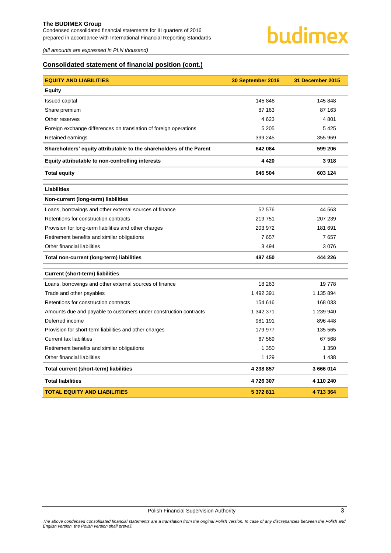

# **Consolidated statement of financial position (cont.)**

| <b>EQUITY AND LIABILITIES</b>                                       | 30 September 2016 | 31 December 2015 |
|---------------------------------------------------------------------|-------------------|------------------|
| <b>Equity</b>                                                       |                   |                  |
| Issued capital                                                      | 145 848           | 145 848          |
| Share premium                                                       | 87 163            | 87 163           |
| Other reserves                                                      | 4623              | 4 8 0 1          |
| Foreign exchange differences on translation of foreign operations   | 5 2 0 5           | 5425             |
| Retained earnings                                                   | 399 245           | 355 969          |
| Shareholders' equity attributable to the shareholders of the Parent | 642 084           | 599 206          |
| Equity attributable to non-controlling interests                    | 4 4 2 0           | 3918             |
| <b>Total equity</b>                                                 | 646 504           | 603 124          |
| <b>Liabilities</b>                                                  |                   |                  |
| Non-current (long-term) liabilities                                 |                   |                  |
| Loans, borrowings and other external sources of finance             | 52 576            | 44 563           |
| Retentions for construction contracts                               | 219751            | 207 239          |
| Provision for long-term liabilities and other charges               | 203 972           | 181 691          |
| Retirement benefits and similar obligations                         | 7657              | 7657             |
| Other financial liabilities                                         | 3 4 9 4           | 3076             |
| Total non-current (long-term) liabilities                           | 487 450           | 444 226          |
| <b>Current (short-term) liabilities</b>                             |                   |                  |
| Loans, borrowings and other external sources of finance             | 18 263            | 19778            |
| Trade and other payables                                            | 1 492 391         | 1 135 894        |
| Retentions for construction contracts                               | 154 616           | 168 033          |
| Amounts due and payable to customers under construction contracts   | 1 342 371         | 1 239 940        |
| Deferred income                                                     | 981 191           | 896 448          |
| Provision for short-term liabilities and other charges              | 179 977           | 135 565          |
| <b>Current tax liabilities</b>                                      | 67 569            | 67 568           |
| Retirement benefits and similar obligations                         | 1 350             | 1 3 5 0          |
| Other financial liabilities                                         | 1 1 2 9           | 1 4 3 8          |
| Total current (short-term) liabilities                              | 4 238 857         | 3 666 014        |
| <b>Total liabilities</b>                                            | 4726307           | 4 110 240        |
| <b>TOTAL EQUITY AND LIABILITIES</b>                                 | 5 372 811         | 4713364          |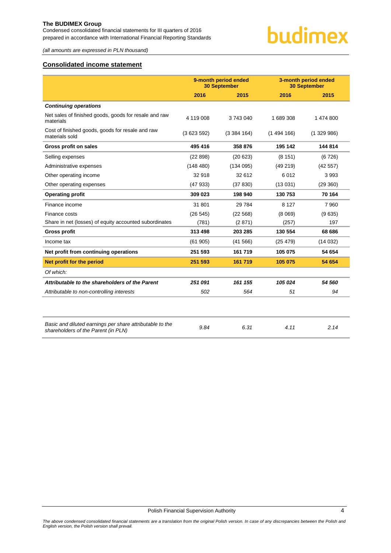# <span id="page-4-0"></span>**Consolidated income statement**

|                                                                                                 | 9-month period ended<br><b>30 September</b> |           |           | 3-month period ended<br><b>30 September</b> |  |
|-------------------------------------------------------------------------------------------------|---------------------------------------------|-----------|-----------|---------------------------------------------|--|
|                                                                                                 | 2016                                        | 2015      | 2016      | 2015                                        |  |
| <b>Continuing operations</b>                                                                    |                                             |           |           |                                             |  |
| Net sales of finished goods, goods for resale and raw<br>materials                              | 4 119 008                                   | 3743040   | 1 689 308 | 1 474 800                                   |  |
| Cost of finished goods, goods for resale and raw<br>materials sold                              | (3623592)                                   | (3384164) | (1494166) | (1329986)                                   |  |
| Gross profit on sales                                                                           | 495 416                                     | 358 876   | 195 142   | 144 814                                     |  |
| Selling expenses                                                                                | (22898)                                     | (20623)   | (8151)    | (6726)                                      |  |
| Administrative expenses                                                                         | (148 480)                                   | (134095)  | (49219)   | (42557)                                     |  |
| Other operating income                                                                          | 32 918                                      | 32 612    | 6012      | 3993                                        |  |
| Other operating expenses                                                                        | (47933)                                     | (37 830)  | (13031)   | (29 360)                                    |  |
| <b>Operating profit</b>                                                                         | 309 023                                     | 198 940   | 130 753   | 70 164                                      |  |
| Finance income                                                                                  | 31 801                                      | 29 7 84   | 8 1 2 7   | 7960                                        |  |
| Finance costs                                                                                   | (26545)                                     | (22 568)  | (8069)    | (9635)                                      |  |
| Share in net (losses) of equity accounted subordinates                                          | (781)                                       | (2871)    | (257)     | 197                                         |  |
| <b>Gross profit</b>                                                                             | 313 498                                     | 203 285   | 130 554   | 68 686                                      |  |
| Income tax                                                                                      | (61905)                                     | (41566)   | (25 479)  | (14032)                                     |  |
| Net profit from continuing operations                                                           | 251 593                                     | 161719    | 105 075   | 54 654                                      |  |
| Net profit for the period                                                                       | 251 593                                     | 161 719   | 105 075   | 54 654                                      |  |
| Of which:                                                                                       |                                             |           |           |                                             |  |
| Attributable to the shareholders of the Parent                                                  | 251 091                                     | 161 155   | 105 024   | 54 560                                      |  |
| Attributable to non-controlling interests                                                       | 502                                         | 564       | 51        | 94                                          |  |
|                                                                                                 |                                             |           |           |                                             |  |
| Basic and diluted earnings per share attributable to the<br>shareholders of the Parent (in PLN) | 9.84                                        | 6.31      | 4.11      | 2.14                                        |  |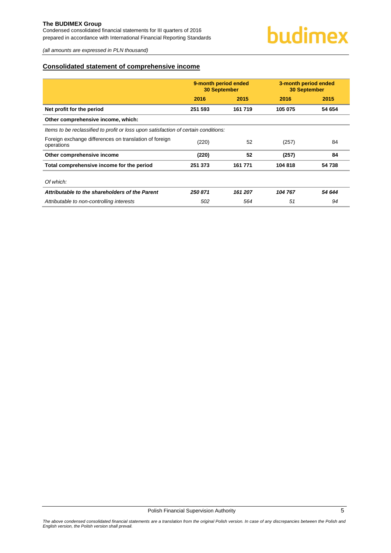#### <span id="page-5-0"></span>**Consolidated statement of comprehensive income**

|                                                                                     | 9-month period ended<br><b>30 September</b> |         | 3-month period ended<br><b>30 September</b> |        |  |  |
|-------------------------------------------------------------------------------------|---------------------------------------------|---------|---------------------------------------------|--------|--|--|
|                                                                                     | 2016                                        | 2015    | 2016                                        | 2015   |  |  |
| Net profit for the period                                                           | 251 593                                     | 161719  | 105 075                                     | 54 654 |  |  |
| Other comprehensive income, which:                                                  |                                             |         |                                             |        |  |  |
| Items to be reclassified to profit or loss upon satisfaction of certain conditions: |                                             |         |                                             |        |  |  |
| Foreign exchange differences on translation of foreign<br>operations                | (220)                                       | 52      | (257)                                       | 84     |  |  |
| Other comprehensive income                                                          | (220)                                       | 52      | (257)                                       | 84     |  |  |
| Total comprehensive income for the period                                           | 251 373                                     | 161 771 | 104 818                                     | 54 738 |  |  |
| Of which:                                                                           |                                             |         |                                             |        |  |  |
| Attributable to the shareholders of the Parent                                      | 250 871                                     | 161 207 | 104 767                                     | 54 644 |  |  |
| Attributable to non-controlling interests                                           | 502                                         | 564     | 51                                          | 94     |  |  |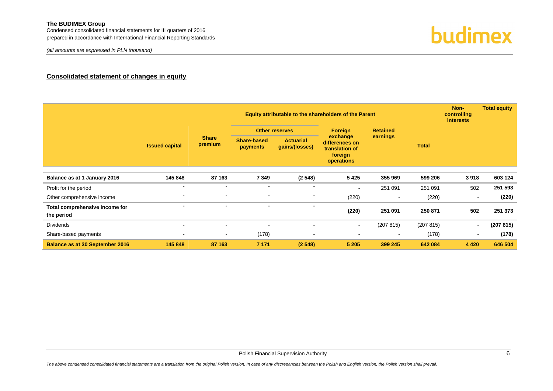Condensed consolidated financial statements for III quarters of 2016 prepared in accordance with International Financial Reporting Standards

# **Consolidated statement of changes in equity**

<span id="page-6-0"></span>

|                                              |                          |                          |                                | Equity attributable to the shareholders of the Parent |                                                                       |           |              |         | <b>Total equity</b> |
|----------------------------------------------|--------------------------|--------------------------|--------------------------------|-------------------------------------------------------|-----------------------------------------------------------------------|-----------|--------------|---------|---------------------|
|                                              |                          |                          | <b>Other reserves</b>          | Foreign                                               | <b>Retained</b>                                                       |           |              |         |                     |
|                                              | <b>Issued capital</b>    | <b>Share</b><br>premium  | <b>Share-based</b><br>payments | <b>Actuarial</b><br>gains/(losses)                    | exchange<br>differences on<br>translation of<br>foreign<br>operations | earnings  | <b>Total</b> |         |                     |
|                                              |                          |                          |                                |                                                       |                                                                       |           |              |         |                     |
| Balance as at 1 January 2016                 | 145 848                  | 87 163                   | 7 3 4 9                        | (2548)                                                | 5 4 2 5                                                               | 355 969   | 599 206      | 3918    | 603 124             |
| Profit for the period                        |                          |                          |                                |                                                       |                                                                       | 251 091   | 251 091      | 502     | 251 593             |
| Other comprehensive income                   |                          | $\blacksquare$           | $\overline{\phantom{a}}$       | $\blacksquare$                                        | (220)                                                                 |           | (220)        |         | (220)               |
| Total comprehensive income for<br>the period | $\overline{\phantom{a}}$ | $\overline{\phantom{a}}$ | $\sim$                         |                                                       | (220)                                                                 | 251 091   | 250 871      | 502     | 251 373             |
| <b>Dividends</b>                             |                          | $\overline{\phantom{a}}$ | $\overline{\phantom{a}}$       | $\blacksquare$                                        | $\overline{\phantom{0}}$                                              | (207 815) | (207 815)    |         | (207 815)           |
| Share-based payments                         |                          | $\blacksquare$           | (178)                          |                                                       |                                                                       | <b>-</b>  | (178)        |         | (178)               |
| <b>Balance as at 30 September 2016</b>       | 145 848                  | 87 163                   | 7 1 7 1                        | (2548)                                                | 5 2 0 5                                                               | 399 245   | 642 084      | 4 4 2 0 | 646 504             |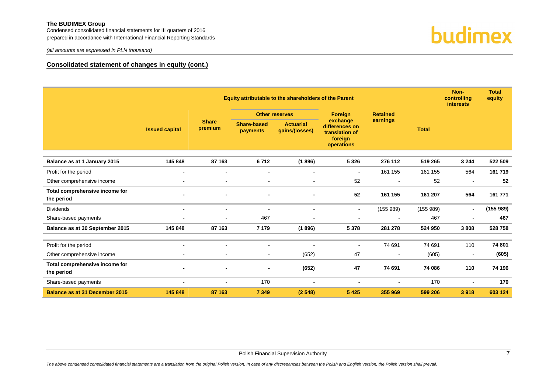Condensed consolidated financial statements for III quarters of 2016 prepared in accordance with International Financial Reporting Standards

*(all amounts are expressed in PLN thousand)*

#### **Consolidated statement of changes in equity (cont.)**

|                                              |                       |                         | Equity attributable to the shareholders of the Parent |                                    |                                                                       |                 |              | Non-<br>controlling<br><i>interests</i> | <b>Total</b><br>equity |
|----------------------------------------------|-----------------------|-------------------------|-------------------------------------------------------|------------------------------------|-----------------------------------------------------------------------|-----------------|--------------|-----------------------------------------|------------------------|
|                                              |                       |                         |                                                       | <b>Other reserves</b>              | <b>Foreign</b>                                                        | <b>Retained</b> |              |                                         |                        |
|                                              | <b>Issued capital</b> | <b>Share</b><br>premium | <b>Share-based</b><br>payments                        | <b>Actuarial</b><br>gains/(losses) | exchange<br>differences on<br>translation of<br>foreign<br>operations | earnings        | <b>Total</b> |                                         |                        |
| Balance as at 1 January 2015                 | 145 848               | 87 163                  | 6712                                                  | (1896)                             | 5 3 2 6                                                               | 276 112         | 519 265      | 3 2 4 4                                 | 522 509                |
| Profit for the period                        | $\sim$                | $\blacksquare$          | $\overline{\phantom{a}}$                              | $\overline{\phantom{a}}$           | $\blacksquare$                                                        | 161 155         | 161 155      | 564                                     | 161 719                |
| Other comprehensive income                   |                       | $\mathbf{r}$            | $\overline{\phantom{a}}$                              | $\blacksquare$                     | 52                                                                    |                 | 52           | $\sim$                                  | 52                     |
| Total comprehensive income for<br>the period |                       |                         | ٠                                                     |                                    | 52                                                                    | 161 155         | 161 207      | 564                                     | 161 771                |
| <b>Dividends</b>                             |                       |                         | $\blacksquare$                                        |                                    | $\blacksquare$                                                        | (155989)        | (155989)     | $\blacksquare$                          | (155989)               |
| Share-based payments                         |                       |                         | 467                                                   |                                    | $\blacksquare$                                                        |                 | 467          | $\blacksquare$                          | 467                    |
| Balance as at 30 September 2015              | 145 848               | 87 163                  | 7 1 7 9                                               | (1896)                             | 5 3 7 8                                                               | 281 278         | 524 950      | 3808                                    | 528 758                |
|                                              |                       |                         |                                                       |                                    |                                                                       |                 |              |                                         |                        |
| Profit for the period                        |                       | $\blacksquare$          | $\blacksquare$                                        |                                    | $\blacksquare$                                                        | 74 691          | 74 691       | 110                                     | 74 801                 |
| Other comprehensive income                   |                       | $\blacksquare$          | $\blacksquare$                                        | (652)                              | 47                                                                    |                 | (605)        | $\blacksquare$                          | (605)                  |
| Total comprehensive income for<br>the period |                       |                         | ٠                                                     | (652)                              | 47                                                                    | 74 691          | 74 086       | 110                                     | 74 196                 |
| Share-based payments                         | $\sim$                | $\blacksquare$          | 170                                                   | $\overline{\phantom{a}}$           | $\blacksquare$                                                        |                 | 170          | $\blacksquare$                          | 170                    |
| <b>Balance as at 31 December 2015</b>        | 145 848               | 87 163                  | 7 3 4 9                                               | (2548)                             | 5 4 2 5                                                               | 355 969         | 599 206      | 3918                                    | 603 124                |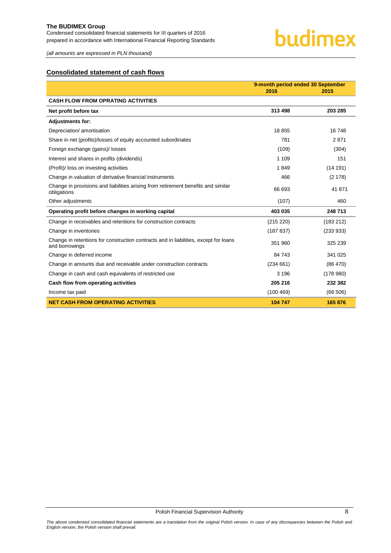# budimex

*(all amounts are expressed in PLN thousand)*

# <span id="page-8-0"></span>**Consolidated statement of cash flows**

|                                                                                                        | 9-month period ended 30 September |           |  |
|--------------------------------------------------------------------------------------------------------|-----------------------------------|-----------|--|
|                                                                                                        | 2016                              | 2015      |  |
| <b>CASH FLOW FROM OPRATING ACTIVITIES</b>                                                              |                                   |           |  |
| Net profit before tax                                                                                  | 313 498                           | 203 285   |  |
| <b>Adjustments for:</b>                                                                                |                                   |           |  |
| Depreciation/ amortisation                                                                             | 18855                             | 16748     |  |
| Share in net (profits)/losses of equity accounted subordinates                                         | 781                               | 2871      |  |
| Foreign exchange (gains)/ losses                                                                       | (109)                             | (304)     |  |
| Interest and shares in profits (dividends)                                                             | 1 1 0 9                           | 151       |  |
| (Profit)/ loss on investing activities                                                                 | 1849                              | (14191)   |  |
| Change in valuation of derivative financial instruments                                                | 466                               | (2178)    |  |
| Change in provisions and liabilities arising from retirement benefits and similar<br>obligations       | 66 693                            | 41 871    |  |
| Other adjustments                                                                                      | (107)                             | 460       |  |
| Operating profit before changes in working capital                                                     | 403 035                           | 248 713   |  |
| Change in receivables and retentions for construction contracts                                        | (215 220)                         | (183 212) |  |
| Change in inventories                                                                                  | (187 837)                         | (233933)  |  |
| Change in retentions for construction contracts and in liabilities, except for loans<br>and borrowings | 351 960                           | 325 239   |  |
| Change in deferred income                                                                              | 84 743                            | 341 025   |  |
| Change in amounts due and receivable under construction contracts                                      | (234661)                          | (86 470)  |  |
| Change in cash and cash equivalents of restricted use                                                  | 3 1 9 6                           | (178980)  |  |
| Cash flow from operating activities                                                                    | 205 216                           | 232 382   |  |
| Income tax paid                                                                                        | (100 469)                         | (66 506)  |  |
| <b>NET CASH FROM OPERATING ACTIVITIES</b>                                                              | 104 747                           | 165 876   |  |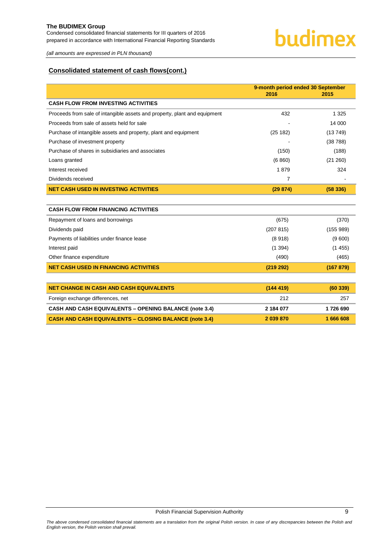# budimex

*(all amounts are expressed in PLN thousand)*

# **Consolidated statement of cash flows(cont.)**

|                                                                           | 9-month period ended 30 September<br>2016<br>2015 |           |
|---------------------------------------------------------------------------|---------------------------------------------------|-----------|
| <b>CASH FLOW FROM INVESTING ACTIVITIES</b>                                |                                                   |           |
| Proceeds from sale of intangible assets and property, plant and equipment | 432                                               | 1 3 2 5   |
| Proceeds from sale of assets held for sale                                |                                                   | 14 000    |
| Purchase of intangible assets and property, plant and equipment           | (25 182)                                          | (13749)   |
| Purchase of investment property                                           |                                                   | (38788)   |
| Purchase of shares in subsidiaries and associates                         | (150)                                             | (188)     |
| Loans granted                                                             | (6 860)                                           | (21 260)  |
| Interest received                                                         | 1879                                              | 324       |
| Dividends received                                                        | 7                                                 |           |
| <b>NET CASH USED IN INVESTING ACTIVITIES</b>                              | (29874)                                           | (58336)   |
|                                                                           |                                                   |           |
| <b>CASH FLOW FROM FINANCING ACTIVITIES</b>                                |                                                   |           |
| Repayment of loans and borrowings                                         | (675)                                             | (370)     |
| Dividends paid                                                            | (207 815)                                         | (155989)  |
| Payments of liabilities under finance lease                               | (8918)                                            | (9600)    |
| Interest paid                                                             | (1394)                                            | (1455)    |
| Other finance expenditure                                                 | (490)                                             | (465)     |
| <b>NET CASH USED IN FINANCING ACTIVITIES</b>                              | (219 292)                                         | (167 879) |
|                                                                           |                                                   |           |
| <b>NET CHANGE IN CASH AND CASH EQUIVALENTS</b>                            | (144419)                                          | (60339)   |
| Foreign exchange differences, net                                         | 212                                               | 257       |
| <b>CASH AND CASH EQUIVALENTS - OPENING BALANCE (note 3.4)</b>             | 2 184 077                                         | 1726 690  |
| <b>CASH AND CASH EQUIVALENTS - CLOSING BALANCE (note 3.4)</b>             | 2 039 870                                         | 1666608   |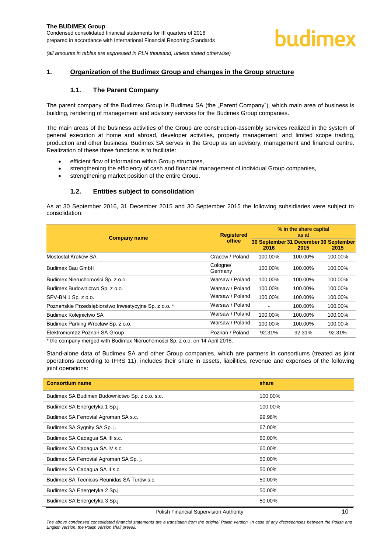#### <span id="page-10-1"></span><span id="page-10-0"></span>**1. Organization of the Budimex Group and changes in the Group structure**

#### **1.1. The Parent Company**

The parent company of the Budimex Group is Budimex SA (the "Parent Company"), which main area of business is building, rendering of management and advisory services for the Budimex Group companies.

The main areas of the business activities of the Group are construction-assembly services realized in the system of general execution at home and abroad, developer activities, property management, and limited scope trading, production and other business. Budimex SA serves in the Group as an advisory, management and financial centre. Realization of these three functions is to facilitate:

- efficient flow of information within Group structures,
- strengthening the efficiency of cash and financial management of individual Group companies,
- strengthening market position of the entire Group.

#### **1.2. Entities subject to consolidation**

<span id="page-10-2"></span>As at 30 September 2016, 31 December 2015 and 30 September 2015 the following subsidiaries were subject to consolidation:

|                                                       | <b>Registered</b>   | % in the share capital<br>as at               |         |         |  |
|-------------------------------------------------------|---------------------|-----------------------------------------------|---------|---------|--|
| <b>Company name</b>                                   | office              | 30 September 31 December 30 September<br>2016 | 2015    | 2015    |  |
| Mostostal Kraków SA                                   | Cracow / Poland     | 100.00%                                       | 100.00% | 100.00% |  |
| Budimex Bau GmbH                                      | Cologne/<br>Germany | 100.00%                                       | 100.00% | 100.00% |  |
| Budimex Nieruchomości Sp. z o.o.                      | Warsaw / Poland     | 100.00%                                       | 100.00% | 100.00% |  |
| Budimex Budownictwo Sp. z o.o.                        | Warsaw / Poland     | 100.00%                                       | 100.00% | 100.00% |  |
| SPV-BN 1 Sp. z o.o.                                   | Warsaw / Poland     | 100.00%                                       | 100.00% | 100.00% |  |
| Poznańskie Przedsiębiorstwo Inwestycyjne Sp. z o.o. * | Warsaw / Poland     |                                               | 100.00% | 100.00% |  |
| Budimex Kolejnictwo SA                                | Warsaw / Poland     | 100.00%                                       | 100.00% | 100.00% |  |
| Budimex Parking Wrocław Sp. z o.o.                    | Warsaw / Poland     | 100.00%                                       | 100.00% | 100.00% |  |
| Elektromontaż Poznań SA Group                         | Poznań / Poland     | 92.31%                                        | 92.31%  | 92.31%  |  |

\* the company merged with Budimex Nieruchomości Sp. z o.o. on 14 April 2016.

Stand-alone data of Budimex SA and other Group companies, which are partners in consortiums (treated as joint operations according to IFRS 11), includes their share in assets, liabilities, revenue and expenses of the following joint operations:

| <b>Consortium name</b>                         | share   |
|------------------------------------------------|---------|
| Budimex SA Budimex Budownictwo Sp. z o.o. s.c. | 100.00% |
| Budimex SA Energetyka 1 Sp.j.                  | 100.00% |
| Budimex SA Ferrovial Agroman SA s.c.           | 99.98%  |
| Budimex SA Sygnity SA Sp. j.                   | 67.00%  |
| Budimex SA Cadagua SA III s.c.                 | 60.00%  |
| Budimex SA Cadagua SA IV s.c.                  | 60.00%  |
| Budimex SA Ferrovial Agroman SA Sp. j.         | 50.00%  |
| Budimex SA Cadagua SA II s.c.                  | 50.00%  |
| Budimex SA Tecnicas Reunidas SA Turów s.c.     | 50.00%  |
| Budimex SA Energetyka 2 Sp.j.                  | 50.00%  |
| Budimex SA Energetyka 3 Sp.j.                  | 50.00%  |

#### Polish Financial Supervision Authority 10

The above condensed consolidated financial statements are a translation from the original Polish version. In case of any discrepancies between the Polish and *English version, the Polish version shall prevail.*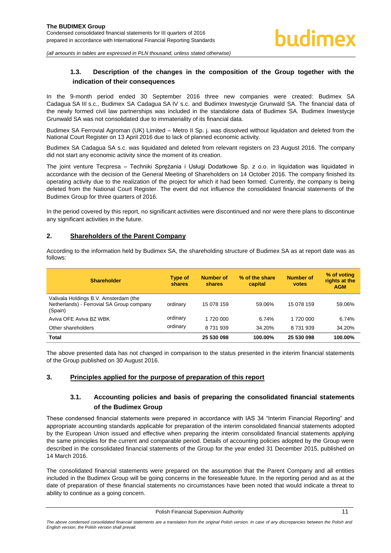# <span id="page-11-0"></span>**1.3. Description of the changes in the composition of the Group together with the indication of their consequences**

In the 9-month period ended 30 September 2016 three new companies were created: Budimex SA Cadagua SA III s.c., Budimex SA Cadagua SA IV s.c. and Budimex Inwestycje Grunwald SA. The financial data of the newly formed civil law partnerships was included in the standalone data of Budimex SA. Budimex Inwestycje Grunwald SA was not consolidated due to immateriality of its financial data.

Budimex SA Ferrovial Agroman (UK) Limited – Metro II Sp. j. was dissolved without liquidation and deleted from the National Court Register on 13 April 2016 due to lack of planned economic activity.

Budimex SA Cadagua SA s.c. was liquidated and deleted from relevant registers on 23 August 2016. The company did not start any economic activity since the moment of its creation.

The joint venture Tecpresa – Techniki Sprężania i Usługi Dodatkowe Sp. z o.o. in liquidation was liquidated in accordance with the decision of the General Meeting of Shareholders on 14 October 2016. The company finished its operating activity due to the realization of the project for which it had been formed. Currently, the company is being deleted from the National Court Register. The event did not influence the consolidated financial statements of the Budimex Group for three quarters of 2016.

In the period covered by this report, no significant activities were discontinued and nor were there plans to discontinue any significant activities in the future.

According to the information held by Budimex SA, the shareholding structure of Budimex SA as at report date was as

#### <span id="page-11-1"></span>**2. Shareholders of the Parent Company**

follows:

| <b>Shareholder</b>                                                                            | Type of<br>shares | Number of<br>shares | % of the share<br>capital | <b>Number of</b><br>votes | % of voting<br>rights at the<br><b>AGM</b> |
|-----------------------------------------------------------------------------------------------|-------------------|---------------------|---------------------------|---------------------------|--------------------------------------------|
| Valivala Holdings B.V. Amsterdam (the<br>Netherlands) - Ferrovial SA Group company<br>(Spain) | ordinary          | 15 078 159          | 59.06%                    | 15 078 159                | 59.06%                                     |
| Aviva OFE Aviva BZ WBK                                                                        | ordinary          | 1 720 000           | 6.74%                     | 1 720 000                 | 6.74%                                      |
| Other shareholders                                                                            | ordinary          | 8 7 31 9 39         | 34.20%                    | 8 7 31 9 39               | 34.20%                                     |
| <b>Total</b>                                                                                  |                   | 25 530 098          | 100.00%                   | 25 530 098                | 100.00%                                    |

The above presented data has not changed in comparison to the status presented in the interim financial statements

of the Group published on 30 August 2016.

#### <span id="page-11-3"></span><span id="page-11-2"></span>**3. Principles applied for the purpose of preparation of this report**

# **3.1. Accounting policies and basis of preparing the consolidated financial statements of the Budimex Group**

These condensed financial statements were prepared in accordance with IAS 34 "Interim Financial Reporting" and appropriate accounting standards applicable for preparation of the interim consolidated financial statements adopted by the European Union issued and effective when preparing the interim consolidated financial statements applying the same principles for the current and comparable period. Details of accounting policies adopted by the Group were described in the consolidated financial statements of the Group for the year ended 31 December 2015, published on 14 March 2016.

The consolidated financial statements were prepared on the assumption that the Parent Company and all entities included in the Budimex Group will be going concerns in the foreseeable future. In the reporting period and as at the date of preparation of these financial statements no circumstances have been noted that would indicate a threat to ability to continue as a going concern.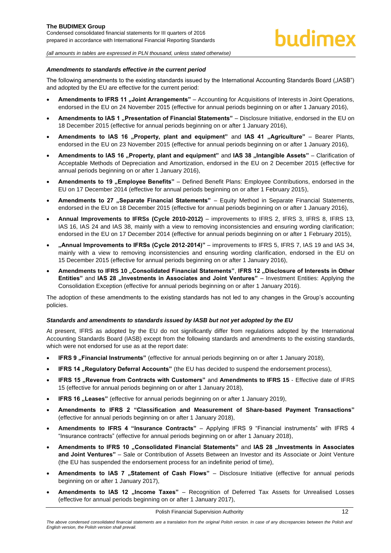#### *Amendments to standards effective in the current period*

The following amendments to the existing standards issued by the International Accounting Standards Board ("IASB") and adopted by the EU are effective for the current period:

- **Amendments to IFRS 11 "Joint Arrangements"** Accounting for Acquisitions of Interests in Joint Operations, endorsed in the EU on 24 November 2015 (effective for annual periods beginning on or after 1 January 2016),
- **Amendments to IAS 1 "Presentation of Financial Statements"** Disclosure Initiative, endorsed in the EU on 18 December 2015 (effective for annual periods beginning on or after 1 January 2016),
- **Amendments to IAS 16 "Property, plant and equipment" and IAS 41 "Agriculture" Bearer Plants,** endorsed in the EU on 23 November 2015 (effective for annual periods beginning on or after 1 January 2016),
- Amendments to IAS 16 . Property, plant and equipment" and IAS 38 . Intangible Assets" Clarification of Acceptable Methods of Depreciation and Amortization, endorsed in the EU on 2 December 2015 (effective for annual periods beginning on or after 1 January 2016),
- **Amendments to 19 "Employee Benefits"** Defined Benefit Plans: Employee Contributions, endorsed in the EU on 17 December 2014 (effective for annual periods beginning on or after 1 February 2015),
- Amendments to 27 "Separate Financial Statements" Equity Method in Separate Financial Statements, endorsed in the EU on 18 December 2015 (effective for annual periods beginning on or after 1 January 2016),
- **Annual Improvements to IFRSs (Cycle 2010-2012)** improvements to IFRS 2, IFRS 3, IFRS 8, IFRS 13, IAS 16, IAS 24 and IAS 38, mainly with a view to removing inconsistencies and ensuring wording clarification; endorsed in the EU on 17 December 2014 (effective for annual periods beginning on or after 1 February 2015),
- **"Annual Improvements to IFRSs (Cycle 2012-2014)"** improvements to IFRS 5, IFRS 7, IAS 19 and IAS 34, mainly with a view to removing inconsistencies and ensuring wording clarification, endorsed in the EU on 15 December 2015 (effective for annual periods beginning on or after 1 January 2016),
- Amendments to IFRS 10 "Consolidated Financial Statements", IFRS 12 "Disclosure of Interests in Other **Entities"** and IAS 28 "Investments in Associates and Joint Ventures" – Investment Entities: Applying the Consolidation Exception (effective for annual periods beginning on or after 1 January 2016).

The adoption of these amendments to the existing standards has not led to any changes in the Group's accounting policies.

#### *Standards and amendments to standards issued by IASB but not yet adopted by the EU*

At present, IFRS as adopted by the EU do not significantly differ from regulations adopted by the International Accounting Standards Board (IASB) except from the following standards and amendments to the existing standards, which were not endorsed for use as at the report date:

- **IFRS 9 . Financial Instruments**" (effective for annual periods beginning on or after 1 January 2018),
- **IFRS 14 "Regulatory Deferral Accounts"** (the EU has decided to suspend the endorsement process),
- **IFRS 15 . Revenue from Contracts with Customers" and Amendments to IFRS 15 Effective date of IFRS** 15 (effective for annual periods beginning on or after 1 January 2018),
- **IFRS 16** "Leases" (effective for annual periods beginning on or after 1 January 2019),
- **Amendments to IFRS 2 "Classification and Measurement of Share-based Payment Transactions"** (effective for annual periods beginning on or after 1 January 2018),
- **Amendments to IFRS 4 "Insurance Contracts"**  Applying IFRS 9 "Financial instruments" with IFRS 4 "Insurance contracts" (effective for annual periods beginning on or after 1 January 2018),
- **Amendments to IFRS 10 "Consolidated Financial Statements" and IAS 28 "Investments in Associates and Joint Ventures"** – Sale or Contribution of Assets Between an Investor and its Associate or Joint Venture (the EU has suspended the endorsement process for an indefinite period of time),
- Amendments to IAS 7 "Statement of Cash Flows" Disclosure Initiative (effective for annual periods beginning on or after 1 January 2017),
- Amendments to IAS 12 "Income Taxes" Recognition of Deferred Tax Assets for Unrealised Losses (effective for annual periods beginning on or after 1 January 2017),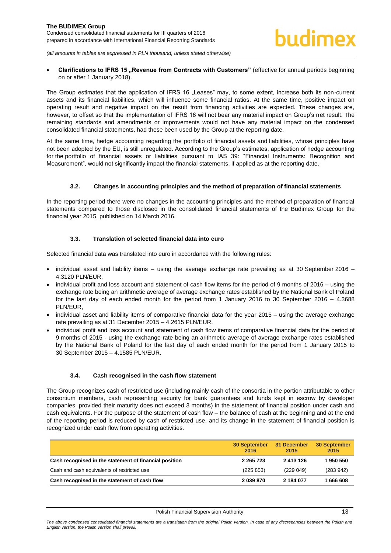**Clarifications to IFRS 15 "Revenue from Contracts with Customers"** (effective for annual periods beginning on or after 1 January 2018).

The Group estimates that the application of IFRS 16 "Leases" may, to some extent, increase both its non-current assets and its financial liabilities, which will influence some financial ratios. At the same time, positive impact on operating result and negative impact on the result from financing activities are expected. These changes are, however, to offset so that the implementation of IFRS 16 will not bear any material impact on Group's net result. The remaining standards and amendments or improvements would not have any material impact on the condensed consolidated financial statements, had these been used by the Group at the reporting date.

At the same time, hedge accounting regarding the portfolio of financial assets and liabilities, whose principles have not been adopted by the EU, is still unregulated. According to the Group's estimates, application of hedge accounting for the portfolio of financial assets or liabilities pursuant to IAS 39: "Financial Instruments: Recognition and Measurement", would not significantly impact the financial statements, if applied as at the reporting date.

#### **3.2. Changes in accounting principles and the method of preparation of financial statements**

<span id="page-13-0"></span>In the reporting period there were no changes in the accounting principles and the method of preparation of financial statements compared to those disclosed in the consolidated financial statements of the Budimex Group for the financial year 2015, published on 14 March 2016.

#### **3.3. Translation of selected financial data into euro**

<span id="page-13-1"></span>Selected financial data was translated into euro in accordance with the following rules:

- individual asset and liability items using the average exchange rate prevailing as at 30 September 2016 4.3120 PLN/EUR,
- individual profit and loss account and statement of cash flow items for the period of 9 months of 2016 using the exchange rate being an arithmetic average of average exchange rates established by the National Bank of Poland for the last day of each ended month for the period from 1 January 2016 to 30 September 2016 – 4.3688 PLN/EUR,
- individual asset and liability items of comparative financial data for the year 2015 using the average exchange rate prevailing as at 31 December 2015 – 4.2615 PLN/EUR,
- individual profit and loss account and statement of cash flow items of comparative financial data for the period of 9 months of 2015 - using the exchange rate being an arithmetic average of average exchange rates established by the National Bank of Poland for the last day of each ended month for the period from 1 January 2015 to 30 September 2015 – 4.1585 PLN/EUR.

#### **3.4. Cash recognised in the cash flow statement**

<span id="page-13-2"></span>The Group recognizes cash of restricted use (including mainly cash of the consortia in the portion attributable to other consortium members, cash representing security for bank guarantees and funds kept in escrow by developer companies, provided their maturity does not exceed 3 months) in the statement of financial position under cash and cash equivalents. For the purpose of the statement of cash flow – the balance of cash at the beginning and at the end of the reporting period is reduced by cash of restricted use, and its change in the statement of financial position is recognized under cash flow from operating activities.

|                                                        | <b>30 September</b><br>2016 | 31 December<br>2015 | 30 September<br>2015 |
|--------------------------------------------------------|-----------------------------|---------------------|----------------------|
| Cash recognised in the statement of financial position | 2 2 6 5 7 2 3               | 2 413 126           | 1950550              |
| Cash and cash equivalents of restricted use            | (225 853)                   | (229049)            | (283942)             |
| Cash recognised in the statement of cash flow          | 2 039 870                   | 2 184 077           | 806 666 1            |

The above condensed consolidated financial statements are a translation from the original Polish version. In case of any discrepancies between the Polish and *English version, the Polish version shall prevail.*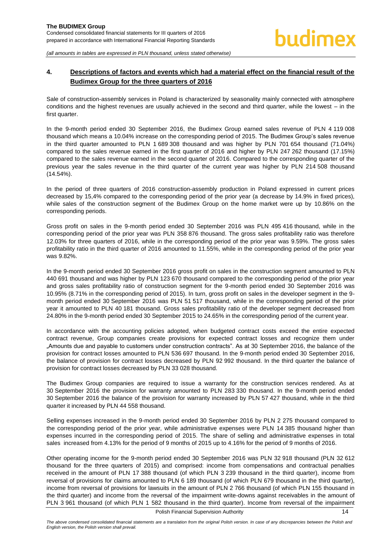# <span id="page-14-0"></span>**4. Descriptions of factors and events which had a material effect on the financial result of the Budimex Group for the three quarters of 2016**

Sale of construction-assembly services in Poland is characterized by seasonality mainly connected with atmosphere conditions and the highest revenues are usually achieved in the second and third quarter, while the lowest – in the first quarter.

In the 9-month period ended 30 September 2016, the Budimex Group earned sales revenue of PLN 4 119 008 thousand which means a 10.04% increase on the corresponding period of 2015. The Budimex Group's sales revenue in the third quarter amounted to PLN 1 689 308 thousand and was higher by PLN 701 654 thousand (71.04%) compared to the sales revenue earned in the first quarter of 2016 and higher by PLN 247 262 thousand (17.15%) compared to the sales revenue earned in the second quarter of 2016. Compared to the corresponding quarter of the previous year the sales revenue in the third quarter of the current year was higher by PLN 214 508 thousand (14.54%).

In the period of three quarters of 2016 construction-assembly production in Poland expressed in current prices decreased by 15,4% compared to the corresponding period of the prior year (a decrease by 14.9% in fixed prices), while sales of the construction segment of the Budimex Group on the home market were up by 10.86% on the corresponding periods.

Gross profit on sales in the 9-month period ended 30 September 2016 was PLN 495 416 thousand, while in the corresponding period of the prior year was PLN 358 876 thousand. The gross sales profitability ratio was therefore 12.03% for three quarters of 2016, while in the corresponding period of the prior year was 9.59%. The gross sales profitability ratio in the third quarter of 2016 amounted to 11.55%, while in the corresponding period of the prior year was 9.82%.

In the 9-month period ended 30 September 2016 gross profit on sales in the construction segment amounted to PLN 440 691 thousand and was higher by PLN 123 670 thousand compared to the corresponding period of the prior year and gross sales profitability ratio of construction segment for the 9-month period ended 30 September 2016 was 10.95% (8.71% in the corresponding period of 2015). In turn, gross profit on sales in the developer segment in the 9 month period ended 30 September 2016 was PLN 51 517 thousand, while in the corresponding period of the prior year it amounted to PLN 40 181 thousand. Gross sales profitability ratio of the developer segment decreased from 24.80% in the 9-month period ended 30 September 2015 to 24.65% in the corresponding period of the current year.

In accordance with the accounting policies adopted, when budgeted contract costs exceed the entire expected contract revenue, Group companies create provisions for expected contract losses and recognize them under "Amounts due and payable to customers under construction contracts". As at 30 September 2016, the balance of the provision for contract losses amounted to PLN 536 697 thousand. In the 9-month period ended 30 September 2016, the balance of provision for contract losses decreased by PLN 92 992 thousand. In the third quarter the balance of provision for contract losses decreased by PLN 33 028 thousand.

The Budimex Group companies are required to issue a warranty for the construction services rendered. As at 30 September 2016 the provision for warranty amounted to PLN 283 330 thousand. In the 9-month period ended 30 September 2016 the balance of the provision for warranty increased by PLN 57 427 thousand, while in the third quarter it increased by PLN 44 558 thousand.

Selling expenses increased in the 9-month period ended 30 September 2016 by PLN 2 275 thousand compared to the corresponding period of the prior year, while administrative expenses were PLN 14 385 thousand higher than expenses incurred in the corresponding period of 2015. The share of selling and administrative expenses in total sales increased from 4.13% for the period of 9 months of 2015 up to 4.16% for the period of 9 months of 2016.

Other operating income for the 9-month period ended 30 September 2016 was PLN 32 918 thousand (PLN 32 612 thousand for the three quarters of 2015) and comprised: income from compensations and contractual penalties received in the amount of PLN 17 388 thousand (of which PLN 3 239 thousand in the third quarter), income from reversal of provisions for claims amounted to PLN 6 189 thousand (of which PLN 679 thousand in the third quarter), income from reversal of provisions for lawsuits in the amount of PLN 2 766 thousand (of which PLN 155 thousand in the third quarter) and income from the reversal of the impairment write-downs against receivables in the amount of PLN 3 961 thousand (of which PLN 1 582 thousand in the third quarter). Income from reversal of the impairment

Polish Financial Supervision Authority **14** and the state of the state of the state of the state of the state of the state of the state of the state of the state of the state of the state of the state of the state of the s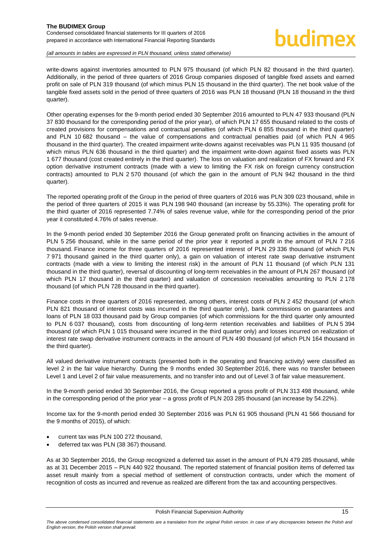# hudimex

#### *(all amounts in tables are expressed in PLN thousand, unless stated otherwise)*

write-downs against inventories amounted to PLN 975 thousand (of which PLN 82 thousand in the third quarter). Additionally, in the period of three quarters of 2016 Group companies disposed of tangible fixed assets and earned profit on sale of PLN 319 thousand (of which minus PLN 15 thousand in the third quarter). The net book value of the tangible fixed assets sold in the period of three quarters of 2016 was PLN 18 thousand (PLN 18 thousand in the third quarter).

Other operating expenses for the 9-month period ended 30 September 2016 amounted to PLN 47 933 thousand (PLN 37 830 thousand for the corresponding period of the prior year), of which PLN 17 655 thousand related to the costs of created provisions for compensations and contractual penalties (of which PLN 6 855 thousand in the third quarter) and PLN 10 682 thousand – the value of compensations and contractual penalties paid (of which PLN 4 965 thousand in the third quarter). The created impairment write-downs against receivables was PLN 11 935 thousand (of which minus PLN 636 thousand in the third quarter) and the impairment write-down against fixed assets was PLN 1 677 thousand (cost created entirely in the third quarter). The loss on valuation and realization of FX forward and FX option derivative instrument contracts (made with a view to limiting the FX risk on foreign currency construction contracts) amounted to PLN 2 570 thousand (of which the gain in the amount of PLN 942 thousand in the third quarter).

The reported operating profit of the Group in the period of three quarters of 2016 was PLN 309 023 thousand, while in the period of three quarters of 2015 it was PLN 198 940 thousand (an increase by 55.33%). The operating profit for the third quarter of 2016 represented 7.74% of sales revenue value, while for the corresponding period of the prior year it constituted 4.76% of sales revenue.

In the 9-month period ended 30 September 2016 the Group generated profit on financing activities in the amount of PLN 5 256 thousand, while in the same period of the prior year it reported a profit in the amount of PLN 7 216 thousand. Finance income for three quarters of 2016 represented interest of PLN 29 336 thousand (of which PLN 7 971 thousand gained in the third quarter only), a gain on valuation of interest rate swap derivative instrument contracts (made with a view to limiting the interest risk) in the amount of PLN 11 thousand (of which PLN 131 thousand in the third quarter), reversal of discounting of long-term receivables in the amount of PLN 267 thousand (of which PLN 17 thousand in the third quarter) and valuation of concession receivables amounting to PLN 2 178 thousand (of which PLN 728 thousand in the third quarter).

Finance costs in three quarters of 2016 represented, among others, interest costs of PLN 2 452 thousand (of which PLN 821 thousand of interest costs was incurred in the third quarter only), bank commissions on guarantees and loans of PLN 18 033 thousand paid by Group companies (of which commissions for the third quarter only amounted to PLN 6 037 thousand), costs from discounting of long-term retention receivables and liabilities of PLN 5 394 thousand (of which PLN 1 015 thousand were incurred in the third quarter only) and losses incurred on realization of interest rate swap derivative instrument contracts in the amount of PLN 490 thousand (of which PLN 164 thousand in the third quarter).

All valued derivative instrument contracts (presented both in the operating and financing activity) were classified as level 2 in the fair value hierarchy. During the 9 months ended 30 September 2016, there was no transfer between Level 1 and Level 2 of fair value measurements, and no transfer into and out of Level 3 of fair value measurement.

In the 9-month period ended 30 September 2016, the Group reported a gross profit of PLN 313 498 thousand, while in the corresponding period of the prior year – a gross profit of PLN 203 285 thousand (an increase by 54.22%).

Income tax for the 9-month period ended 30 September 2016 was PLN 61 905 thousand (PLN 41 566 thousand for the 9 months of 2015), of which:

- current tax was PLN 100 272 thousand,
- deferred tax was PLN (38 367) thousand.

As at 30 September 2016, the Group recognized a deferred tax asset in the amount of PLN 479 285 thousand, while as at 31 December 2015 – PLN 440 922 thousand. The reported statement of financial position items of deferred tax asset result mainly from a special method of settlement of construction contracts, under which the moment of recognition of costs as incurred and revenue as realized are different from the tax and accounting perspectives.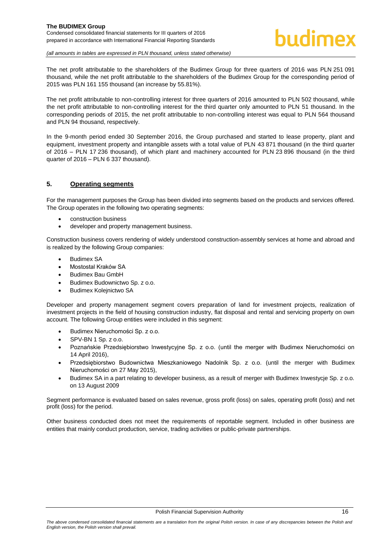

The net profit attributable to the shareholders of the Budimex Group for three quarters of 2016 was PLN 251 091 thousand, while the net profit attributable to the shareholders of the Budimex Group for the corresponding period of 2015 was PLN 161 155 thousand (an increase by 55.81%).

The net profit attributable to non-controlling interest for three quarters of 2016 amounted to PLN 502 thousand, while the net profit attributable to non-controlling interest for the third quarter only amounted to PLN 51 thousand. In the corresponding periods of 2015, the net profit attributable to non-controlling interest was equal to PLN 564 thousand and PLN 94 thousand, respectively.

In the 9-month period ended 30 September 2016, the Group purchased and started to lease property, plant and equipment, investment property and intangible assets with a total value of PLN 43 871 thousand (in the third quarter of 2016 – PLN 17 236 thousand), of which plant and machinery accounted for PLN 23 896 thousand (in the third quarter of 2016 – PLN 6 337 thousand).

# <span id="page-16-0"></span>**5. Operating segments**

For the management purposes the Group has been divided into segments based on the products and services offered. The Group operates in the following two operating segments:

- construction business
- developer and property management business.

Construction business covers rendering of widely understood construction-assembly services at home and abroad and is realized by the following Group companies:

- Budimex SA
- Mostostal Kraków SA
- Budimex Bau GmbH
- Budimex Budownictwo Sp. z o.o.
- Budimex Kolejnictwo SA

Developer and property management segment covers preparation of land for investment projects, realization of investment projects in the field of housing construction industry, flat disposal and rental and servicing property on own account. The following Group entities were included in this segment:

- Budimex Nieruchomości Sp. z o.o.
- SPV-BN 1 Sp. z o.o.
- Poznańskie Przedsiębiorstwo Inwestycyjne Sp. z o.o. (until the merger with Budimex Nieruchomości on 14 April 2016),
- Przedsiębiorstwo Budownictwa Mieszkaniowego Nadolnik Sp. z o.o. (until the merger with Budimex Nieruchomości on 27 May 2015),
- Budimex SA in a part relating to developer business, as a result of merger with Budimex Inwestycje Sp. z o.o. on 13 August 2009

Segment performance is evaluated based on sales revenue, gross profit (loss) on sales, operating profit (loss) and net profit (loss) for the period.

Other business conducted does not meet the requirements of reportable segment. Included in other business are entities that mainly conduct production, service, trading activities or public-private partnerships.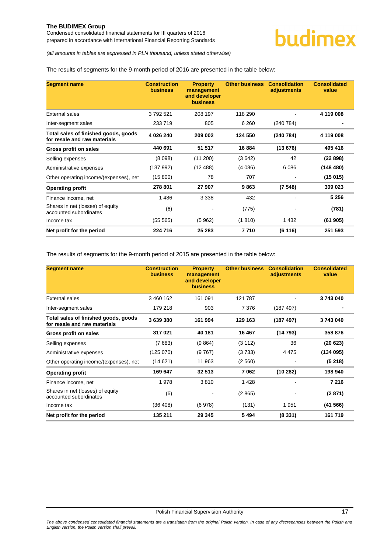#### The results of segments for the 9-month period of 2016 are presented in the table below:

| <b>Segment name</b>                                                  | <b>Construction</b><br><b>business</b> | <b>Property</b><br>management<br>and developer<br><b>business</b> | <b>Other business</b> | <b>Consolidation</b><br>adjustments | <b>Consolidated</b><br>value |
|----------------------------------------------------------------------|----------------------------------------|-------------------------------------------------------------------|-----------------------|-------------------------------------|------------------------------|
| <b>External sales</b>                                                | 3792521                                | 208 197                                                           | 118 290               |                                     | 4 119 008                    |
| Inter-segment sales                                                  | 233 719                                | 805                                                               | 6 2 6 0               | (240 784)                           |                              |
| Total sales of finished goods, goods<br>for resale and raw materials | 4 026 240                              | 209 002                                                           | 124 550               | (240 784)                           | 4 119 008                    |
| Gross profit on sales                                                | 440 691                                | 51 517                                                            | 16 884                | (13676)                             | 495 416                      |
| Selling expenses                                                     | (8098)                                 | (11 200)                                                          | (3642)                | 42                                  | (22898)                      |
| Administrative expenses                                              | (137992)                               | (12488)                                                           | (4086)                | 6 0 8 6                             | (148 480)                    |
| Other operating income/(expenses), net                               | (15 800)                               | 78                                                                | 707                   |                                     | (15015)                      |
| <b>Operating profit</b>                                              | 278 801                                | 27 907                                                            | 9863                  | (7548)                              | 309 023                      |
| Finance income, net                                                  | 1486                                   | 3 3 3 8                                                           | 432                   |                                     | 5 256                        |
| Shares in net (losses) of equity<br>accounted subordinates           | (6)                                    |                                                                   | (775)                 |                                     | (781)                        |
| Income tax                                                           | (55 565)                               | (5962)                                                            | (1810)                | 1 4 3 2                             | (61905)                      |
| Net profit for the period                                            | 224 716                                | 25 283                                                            | 7710                  | (6116)                              | 251 593                      |

The results of segments for the 9-month period of 2015 are presented in the table below:

| <b>Segment name</b>                                                  | <b>Construction</b><br><b>business</b> | <b>Property</b><br>management<br>and developer<br><b>business</b> | <b>Other business</b> | <b>Consolidation</b><br>adjustments | <b>Consolidated</b><br>value |
|----------------------------------------------------------------------|----------------------------------------|-------------------------------------------------------------------|-----------------------|-------------------------------------|------------------------------|
| External sales                                                       | 3 460 162                              | 161 091                                                           | 121 787               |                                     | 3743040                      |
| Inter-segment sales                                                  | 179 218                                | 903                                                               | 7 3 7 6               | (187 497)                           |                              |
| Total sales of finished goods, goods<br>for resale and raw materials | 3639380                                | 161 994                                                           | 129 163               | (187 497)                           | 3743040                      |
| Gross profit on sales                                                | 317021                                 | 40 181                                                            | 16 467                | (14793)                             | 358 876                      |
| Selling expenses                                                     | (7683)                                 | (9864)                                                            | (3 112)               | 36                                  | (20623)                      |
| Administrative expenses                                              | (125070)                               | (9767)                                                            | (3733)                | 4 4 7 5                             | (134 095)                    |
| Other operating income/(expenses), net                               | (14621)                                | 11 963                                                            | (2560)                |                                     | (5218)                       |
| <b>Operating profit</b>                                              | 169 647                                | 32 513                                                            | 7062                  | (10282)                             | 198 940                      |
| Finance income, net                                                  | 1978                                   | 3810                                                              | 1428                  |                                     | 7 2 1 6                      |
| Shares in net (losses) of equity<br>accounted subordinates           | (6)                                    |                                                                   | (2865)                |                                     | (2871)                       |
| Income tax                                                           | (36 408)                               | (6978)                                                            | (131)                 | 1951                                | (41566)                      |
| Net profit for the period                                            | 135 211                                | 29 345                                                            | 5494                  | (8331)                              | 161719                       |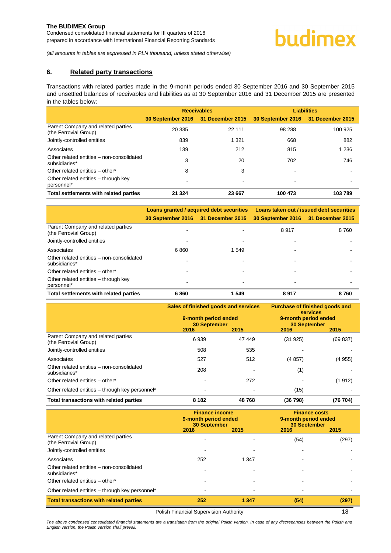#### <span id="page-18-0"></span>**6. Related party transactions**

Transactions with related parties made in the 9-month periods ended 30 September 2016 and 30 September 2015 and unsettled balances of receivables and liabilities as at 30 September 2016 and 31 December 2015 are presented in the tables below:

|                                                             |                                    | <b>Receivables</b> | <b>Liabilities</b>                 |         |  |
|-------------------------------------------------------------|------------------------------------|--------------------|------------------------------------|---------|--|
|                                                             | 30 September 2016 31 December 2015 |                    | 30 September 2016 31 December 2015 |         |  |
| Parent Company and related parties<br>(the Ferrovial Group) | 20 335                             | 22 111             | 98 288                             | 100 925 |  |
| Jointly-controlled entities                                 | 839                                | 1 3 2 1            | 668                                | 882     |  |
| Associates                                                  | 139                                | 212                | 815                                | 1 2 3 6 |  |
| Other related entities - non-consolidated<br>subsidiaries*  | 3                                  | 20                 | 702                                | 746     |  |
| Other related entities - other*                             | 8                                  | 3                  |                                    |         |  |
| Other related entities - through key<br>personnel*          |                                    |                    | ۰                                  |         |  |
| Total settlements with related parties                      | 21 3 24                            | 23 667             | 100 473                            | 103789  |  |

|                                                                                            |                                    | Loans granted / acquired debt securities | Loans taken out / issued debt securities |      |  |
|--------------------------------------------------------------------------------------------|------------------------------------|------------------------------------------|------------------------------------------|------|--|
|                                                                                            | 30 September 2016 31 December 2015 |                                          | 30 September 2016 31 December 2015       |      |  |
| Parent Company and related parties<br>(the Ferrovial Group)<br>Jointly-controlled entities |                                    |                                          | 8917                                     | 8760 |  |
| Associates                                                                                 | 6860                               | 1 549                                    |                                          |      |  |
| Other related entities - non-consolidated<br>subsidiaries*                                 |                                    |                                          |                                          |      |  |
| Other related entities - other*                                                            |                                    |                                          |                                          |      |  |
| Other related entities – through key<br>personnel*                                         |                                    | ٠                                        |                                          |      |  |
| Total settlements with related parties                                                     | 6860                               | 1 549                                    | 8917                                     | 8760 |  |

|                                                             | Sales of finished goods and services<br>9-month period ended<br><b>30 September</b><br>2016 | 2015   | Purchase of finished goods and<br><b>services</b><br>9-month period ended<br><b>30 September</b><br>2016<br>2015 |          |
|-------------------------------------------------------------|---------------------------------------------------------------------------------------------|--------|------------------------------------------------------------------------------------------------------------------|----------|
| Parent Company and related parties<br>(the Ferrovial Group) | 6939                                                                                        | 47 449 | (31925)                                                                                                          | (69 837) |
| Jointly-controlled entities                                 | 508                                                                                         | 535    |                                                                                                                  |          |
| Associates                                                  | 527                                                                                         | 512    | (4857)                                                                                                           | (4955)   |
| Other related entities - non-consolidated<br>subsidiaries*  | 208                                                                                         |        | (1)                                                                                                              |          |
| Other related entities - other*                             |                                                                                             | 272    |                                                                                                                  | (1912)   |
| Other related entities - through key personnel*             |                                                                                             |        | (15)                                                                                                             |          |
| Total transactions with related parties                     | 8 1 8 2                                                                                     | 48768  | (36798)                                                                                                          | (76 704) |

|                                                             | <b>Finance income</b><br>9-month period ended<br><b>30 September</b><br>2015<br>2016 |                          | <b>Finance costs</b><br>9-month period ended<br><b>30 September</b><br>2016 | 2015  |
|-------------------------------------------------------------|--------------------------------------------------------------------------------------|--------------------------|-----------------------------------------------------------------------------|-------|
| Parent Company and related parties<br>(the Ferrovial Group) |                                                                                      |                          | (54)                                                                        | (297) |
| Jointly-controlled entities<br>Associates                   | 252                                                                                  | 1 3 4 7                  |                                                                             |       |
| Other related entities - non-consolidated<br>subsidiaries*  |                                                                                      |                          |                                                                             |       |
| Other related entities - other*                             |                                                                                      |                          |                                                                             |       |
| Other related entities - through key personnel*             | ۰                                                                                    | $\overline{\phantom{a}}$ | $\overline{\phantom{0}}$                                                    |       |
| <b>Total transactions with related parties</b>              | 252                                                                                  | 1 3 4 7                  | (54)                                                                        | (297) |

Polish Financial Supervision Authority **18** 

*The above condensed consolidated financial statements are a translation from the original Polish version. In case of any discrepancies between the Polish and English version, the Polish version shall prevail.*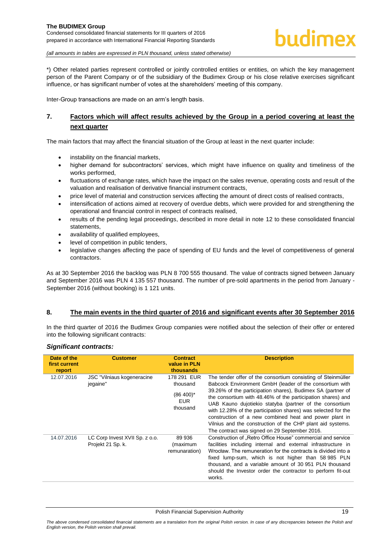\*) Other related parties represent controlled or jointly controlled entities or entities, on which the key management person of the Parent Company or of the subsidiary of the Budimex Group or his close relative exercises significant influence, or has significant number of votes at the shareholders' meeting of this company.

Inter-Group transactions are made on an arm's length basis.

# <span id="page-19-0"></span>**7. Factors which will affect results achieved by the Group in a period covering at least the next quarter**

The main factors that may affect the financial situation of the Group at least in the next quarter include:

- instability on the financial markets,
- higher demand for subcontractors' services, which might have influence on quality and timeliness of the works performed,
- fluctuations of exchange rates, which have the impact on the sales revenue, operating costs and result of the valuation and realisation of derivative financial instrument contracts,
- price level of material and construction services affecting the amount of direct costs of realised contracts,
- intensification of actions aimed at recovery of overdue debts, which were provided for and strengthening the operational and financial control in respect of contracts realised,
- results of the pending legal proceedings, described in more detail in note [12](#page-21-0) to these consolidated financial statements,
- availability of qualified employees,
- level of competition in public tenders,
- legislative changes affecting the pace of spending of EU funds and the level of competitiveness of general contractors.

As at 30 September 2016 the backlog was PLN 8 700 555 thousand. The value of contracts signed between January and September 2016 was PLN 4 135 557 thousand. The number of pre-sold apartments in the period from January - September 2016 (without booking) is 1 121 units.

# <span id="page-19-1"></span>**8. The main events in the third quarter of 2016 and significant events after 30 September 2016**

In the third quarter of 2016 the Budimex Group companies were notified about the selection of their offer or entered into the following significant contracts:

#### *Significant contracts:*

| Date of the<br>first current<br>report | <b>Customer</b>                                     | <b>Contract</b><br>value in PLN<br>thousands                      | <b>Description</b>                                                                                                                                                                                                                                                                                                                                                                                                                                                                                                                                         |
|----------------------------------------|-----------------------------------------------------|-------------------------------------------------------------------|------------------------------------------------------------------------------------------------------------------------------------------------------------------------------------------------------------------------------------------------------------------------------------------------------------------------------------------------------------------------------------------------------------------------------------------------------------------------------------------------------------------------------------------------------------|
| 12.07.2016                             | <b>JSC</b> "Vilniaus kogeneracine"<br>jegaine"      | 178 291 EUR<br>thousand<br>$(86 400)^*$<br><b>EUR</b><br>thousand | The tender offer of the consortium consisting of Steinmüller<br>Babcock Environment GmbH (leader of the consortium with<br>39.26% of the participation shares), Budimex SA (partner of<br>the consortium with 48.46% of the participation shares) and<br>UAB Kauno dujotiekio statyba (partner of the consortium<br>with 12.28% of the participation shares) was selected for the<br>construction of a new combined heat and power plant in<br>Vilnius and the construction of the CHP plant aid systems.<br>The contract was signed on 29 September 2016. |
| 14.07.2016                             | LC Corp Invest XVII Sp. z o.o.<br>Projekt 21 Sp. k. | 89 936<br>(maximum<br>remunaration)                               | Construction of "Retro Office House" commercial and service<br>facilities including internal and external infrastructure in<br>Wrocław. The remuneration for the contracts is divided into a<br>fixed lump-sum, which is not higher than 58 985 PLN<br>thousand, and a variable amount of 30 951 PLN thousand<br>should the Investor order the contractor to perform fit-out<br>works.                                                                                                                                                                     |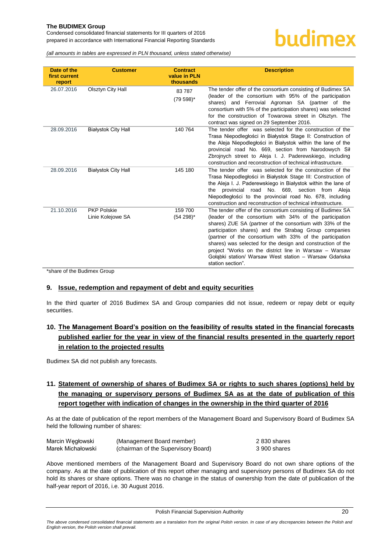prepared in accordance with International Financial Reporting Standards

*(all amounts in tables are expressed in PLN thousand, unless stated otherwise)*

| Date of the<br>first current<br>report | <b>Customer</b>                         | <b>Contract</b><br>value in PLN<br>thousands | <b>Description</b>                                                                                                                                                                                                                                                                                                                                                                                                                                                                                              |
|----------------------------------------|-----------------------------------------|----------------------------------------------|-----------------------------------------------------------------------------------------------------------------------------------------------------------------------------------------------------------------------------------------------------------------------------------------------------------------------------------------------------------------------------------------------------------------------------------------------------------------------------------------------------------------|
| 26.07.2016                             | Olsztyn City Hall                       | 83787<br>$(79\ 598)^*$                       | The tender offer of the consortium consisting of Budimex SA<br>(leader of the consortium with 95% of the participation<br>shares) and Ferrovial Agroman SA (partner of the<br>consortium with 5% of the participation shares) was selected<br>for the construction of Towarowa street in Olsztyn. The<br>contract was signed on 29 September 2016.                                                                                                                                                              |
| 28.09.2016                             | <b>Białystok City Hall</b>              | 140 764                                      | The tender offer was selected for the construction of the<br>Trasa Niepodległości in Białystok Stage II: Construction of<br>the Aleja Niepodległości in Białystok within the lane of the<br>provincial road No. 669, section from Narodowych Sił<br>Zbroinych street to Aleja I. J. Paderewskiego, including<br>construction and reconstruction of technical infrastructure.                                                                                                                                    |
| 28.09.2016                             | <b>Białystok City Hall</b>              | 145 180                                      | The tender offer was selected for the construction of the<br>Trasa Niepodległości in Białystok Stage III: Construction of<br>the Aleja I. J. Paderewskiego in Białystok within the lane of<br>provincial road No. 669, section from Aleja<br>the<br>Niepodległości to the provincial road No. 678, including<br>construction and reconstruction of technical infrastructure.                                                                                                                                    |
| 21.10.2016                             | <b>PKP Polskie</b><br>Linie Kolejowe SA | 159 700<br>$(54298)^*$                       | The tender offer of the consortium consisting of Budimex SA<br>(leader of the consortium with 34% of the participation<br>shares) ZUE SA (partner of the consortium with 33% of the<br>participation shares) and the Strabag Group companies<br>(partner of the consortium with 33% of the participation<br>shares) was selected for the design and construction of the<br>project "Works on the district line in Warsaw – Warsaw<br>Gołąbki station/ Warsaw West station – Warsaw Gdańska<br>station section". |

\*share of the Budimex Group

# <span id="page-20-0"></span>**9. Issue, redemption and repayment of debt and equity securities**

In the third quarter of 2016 Budimex SA and Group companies did not issue, redeem or repay debt or equity securities.

# <span id="page-20-1"></span>**10. The Management Board's position on the feasibility of results stated in the financial forecasts published earlier for the year in view of the financial results presented in the quarterly report in relation to the projected results**

Budimex SA did not publish any forecasts.

# <span id="page-20-2"></span>**11. Statement of ownership of shares of Budimex SA or rights to such shares (options) held by the managing or supervisory persons of Budimex SA as at the date of publication of this report together with indication of changes in the ownership in the third quarter of 2016**

As at the date of publication of the report members of the Management Board and Supervisory Board of Budimex SA held the following number of shares:

| Marcin Wegłowski  | (Management Board member)           | 2 830 shares |
|-------------------|-------------------------------------|--------------|
| Marek Michałowski | (chairman of the Supervisory Board) | 3 900 shares |

Above mentioned members of the Management Board and Supervisory Board do not own share options of the company. As at the date of publication of this report other managing and supervisory persons of Budimex SA do not hold its shares or share options. There was no change in the status of ownership from the date of publication of the half-year report of 2016, i.e. 30 August 2016.

Polish Financial Supervision Authority 20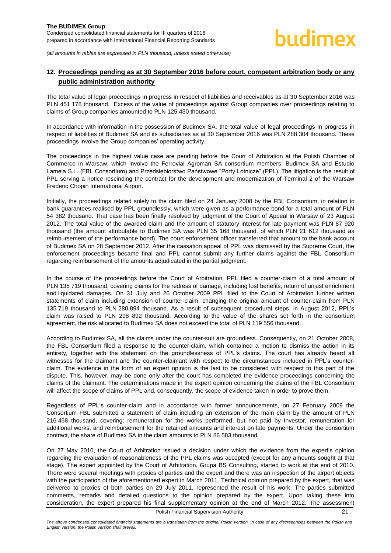# <span id="page-21-0"></span>**12. Proceedings pending as at 30 September 2016 before court, competent arbitration body or any public administration authority**

The total value of legal proceedings in progress in respect of liabilities and receivables as at 30 September 2016 was PLN 451 178 thousand. Excess of the value of proceedings against Group companies over proceedings relating to claims of Group companies amounted to PLN 125 430 thousand.

In accordance with information in the possession of Budimex SA, the total value of legal proceedings in progress in respect of liabilities of Budimex SA and its subsidiaries as at 30 September 2016 was PLN 288 304 thousand. These proceedings involve the Group companies' operating activity.

The proceedings in the highest value case are pending before the Court of Arbitration at the Polish Chamber of Commerce in Warsaw, which involve the Ferrovial Agroman SA consortium members: Budimex SA and Estudio Lamela S.L. (FBL Consortium) and Przedsiębiorstwo Państwowe "Porty Lotnicze" (PPL). The litigation is the result of PPL serving a notice rescinding the contract for the development and modernization of Terminal 2 of the Warsaw Frederic Chopin International Airport.

Initially, the proceedings related solely to the claim filed on 24 January 2008 by the FBL Consortium, in relation to bank guarantees realised by PPL groundlessly, which were given as a performance bond for a total amount of PLN 54 382 thousand. That case has been finally resolved by judgment of the Court of Appeal in Warsaw of 23 August 2012. The total value of the awarded claim and the amount of statutory interest for late payment was PLN 87 920 thousand (the amount attributable to Budimex SA was PLN 35 168 thousand, of which PLN 21 612 thousand as reimbursement of the performance bond). The court enforcement officer transferred that amount to the bank account of Budimex SA on 28 September 2012. After the cassation appeal of PPL was dismissed by the Supreme Court, the enforcement proceedings became final and PPL cannot submit any further claims against the FBL Consortium regarding reimbursement of the amounts adjudicated in the partial judgment.

In the course of the proceedings before the Court of Arbitration, PPL filed a counter-claim of a total amount of PLN 135 719 thousand, covering claims for the redress of damage, including lost benefits, return of unjust enrichment and liquidated damages. On 31 July and 26 October 2009 PPL filed to the Court of Arbitration further written statements of claim including extension of counter-claim, changing the original amount of counter-claim from PLN 135 719 thousand to PLN 280 894 thousand. As a result of subsequent procedural steps, in August 2012, PPL's claim was raised to PLN 298 892 thousand. According to the value of the shares set forth in the consortium agreement, the risk allocated to Budimex SA does not exceed the total of PLN 119 556 thousand.

According to Budimex SA, all the claims under the counter-suit are groundless. Consequently, on 21 October 2008, the FBL Consortium filed a response to the counter-claim, which contained a motion to dismiss the action in its entirety, together with the statement on the groundlessness of PPL's claims. The court has already heard all witnesses for the claimant and the counter-claimant with respect to the circumstances included in PPL's counterclaim. The evidence in the form of an expert opinion is the last to be considered with respect to this part of the dispute. This, however, may be done only after the court has completed the evidence proceedings concerning the claims of the claimant. The determinations made in the expert opinion concerning the claims of the FBL Consortium will affect the scope of claims of PPL and, consequently, the scope of evidence taken in order to prove them.

Regardless of PPL's counter-claim and in accordance with former announcements, on 27 February 2009 the Consortium FBL submitted a statement of claim including an extension of the main claim by the amount of PLN 216 458 thousand, covering: remuneration for the works performed, but not paid by Investor, remuneration for additional works, and reimbursement for the retained amounts and interest on late payments. Under the consortium contract, the share of Budimex SA in the claim amounts to PLN 86 583 thousand.

On 27 May 2010, the Court of Arbitration issued a decision under which the evidence from the expert's opinion regarding the evaluation of reasonableness of the PPL claims was accepted (except for any amounts sought at that stage). The expert appointed by the Court of Arbitration, Grupa BS Consulting, started to work at the end of 2010. There were several meetings with proxies of parties and the expert and there was an inspection of the airport objects with the participation of the aforementioned expert in March 2011. Technical opinion prepared by the expert, that was delivered to proxies of both parties on 29 July 2011, represented the result of his work. The parties submitted comments, remarks and detailed questions to the opinion prepared by the expert. Upon taking these into consideration, the expert prepared his final supplementary opinion at the end of March 2012. The assessment

Polish Financial Supervision Authority 21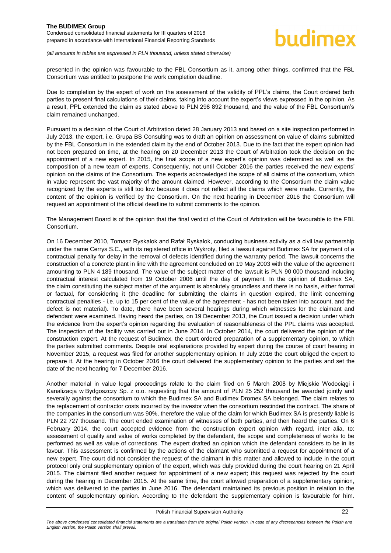presented in the opinion was favourable to the FBL Consortium as it, among other things, confirmed that the FBL Consortium was entitled to postpone the work completion deadline.

Due to completion by the expert of work on the assessment of the validity of PPL's claims, the Court ordered both parties to present final calculations of their claims, taking into account the expert's views expressed in the opinion. As a result, PPL extended the claim as stated above to PLN 298 892 thousand, and the value of the FBL Consortium's claim remained unchanged.

Pursuant to a decision of the Court of Arbitration dated 28 January 2013 and based on a site inspection performed in July 2013, the expert, i.e. Grupa BS Consulting was to draft an opinion on assessment on value of claims submitted by the FBL Consortium in the extended claim by the end of October 2013. Due to the fact that the expert opinion had not been prepared on time, at the hearing on 20 December 2013 the Court of Arbitration took the decision on the appointment of a new expert. In 2015, the final scope of a new expert's opinion was determined as well as the composition of a new team of experts. Consequently, not until October 2016 the parties received the new experts' opinion on the claims of the Consortium. The experts acknowledged the scope of all claims of the consortium, which in value represent the vast majority of the amount claimed. However, according to the Consortium the claim value recognized by the experts is still too low because it does not reflect all the claims which were made. Currently, the content of the opinion is verified by the Consortium. On the next hearing in December 2016 the Consortium will request an appointment of the official deadline to submit comments to the opinion.

The Management Board is of the opinion that the final verdict of the Court of Arbitration will be favourable to the FBL Consortium.

On 16 December 2010, Tomasz Ryskalok and Rafał Ryskalok, conducting business activity as a civil law partnership under the name Cerrys S.C., with its registered office in Wykroty, filed a lawsuit against Budimex SA for payment of a contractual penalty for delay in the removal of defects identified during the warranty period. The lawsuit concerns the construction of a concrete plant in line with the agreement concluded on 19 May 2003 with the value of the agreement amounting to PLN 4 189 thousand. The value of the subject matter of the lawsuit is PLN 90 000 thousand including contractual interest calculated from 19 October 2006 until the day of payment. In the opinion of Budimex SA, the claim constituting the subject matter of the argument is absolutely groundless and there is no basis, either formal or factual, for considering it (the deadline for submitting the claims in question expired, the limit concerning contractual penalties - i.e. up to 15 per cent of the value of the agreement - has not been taken into account, and the defect is not material). To date, there have been several hearings during which witnesses for the claimant and defendant were examined. Having heard the parties, on 19 December 2013, the Court issued a decision under which the evidence from the expert's opinion regarding the evaluation of reasonableness of the PPL claims was accepted. The inspection of the facility was carried out in June 2014. In October 2014, the court delivered the opinion of the construction expert. At the request of Budimex, the court ordered preparation of a supplementary opinion, to which the parties submitted comments. Despite oral explanations provided by expert during the course of court hearing in November 2015, a request was filed for another supplementary opinion. In July 2016 the court obliged the expert to prepare it. At the hearing in October 2016 the court delivered the supplementary opinion to the parties and set the date of the next hearing for 7 December 2016.

Another material in value legal proceedings relate to the claim filed on 5 March 2008 by Miejskie Wodociągi i Kanalizacja w Bydgoszczy Sp. z o.o. requesting that the amount of PLN 25 252 thousand be awarded jointly and severally against the consortium to which the Budimex SA and Budimex Dromex SA belonged. The claim relates to the replacement of contractor costs incurred by the investor when the consortium rescinded the contract. The share of the companies in the consortium was 90%, therefore the value of the claim for which Budimex SA is presently liable is PLN 22 727 thousand. The court ended examination of witnesses of both parties, and then heard the parties. On 6 February 2014, the court accepted evidence from the construction expert opinion with regard, inter alia, to: assessment of quality and value of works completed by the defendant, the scope and completeness of works to be performed as well as value of corrections. The expert drafted an opinion which the defendant considers to be in its favour. This assessment is confirmed by the actions of the claimant who submitted a request for appointment of a new expert. The court did not consider the request of the claimant in this matter and allowed to include in the court protocol only oral supplementary opinion of the expert, which was duly provided during the court hearing on 21 April 2015. The claimant filed another request for appointment of a new expert; this request was rejected by the court during the hearing in December 2015. At the same time, the court allowed preparation of a supplementary opinion, which was delivered to the parties in June 2016. The defendant maintained its previous position in relation to the content of supplementary opinion. According to the defendant the supplementary opinion is favourable for him.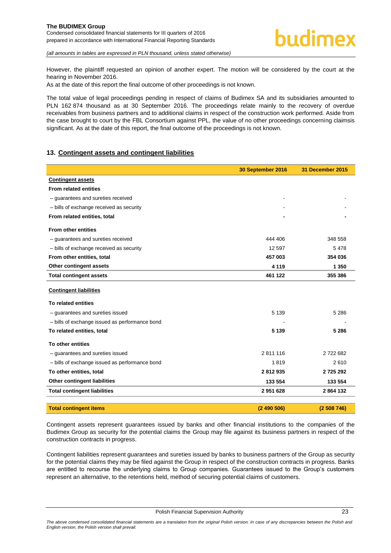However, the plaintiff requested an opinion of another expert. The motion will be considered by the court at the hearing in November 2016.

As at the date of this report the final outcome of other proceedings is not known.

The total value of legal proceedings pending in respect of claims of Budimex SA and its subsidiaries amounted to PLN 162 874 thousand as at 30 September 2016. The proceedings relate mainly to the recovery of overdue receivables from business partners and to additional claims in respect of the construction work performed. Aside from the case brought to court by the FBL Consortium against PPL, the value of no other proceedings concerning claimsis significant. As at the date of this report, the final outcome of the proceedings is not known.

# <span id="page-23-0"></span>**13. Contingent assets and contingent liabilities**

|                                                | 30 September 2016 | 31 December 2015 |
|------------------------------------------------|-------------------|------------------|
| <b>Contingent assets</b>                       |                   |                  |
| <b>From related entities</b>                   |                   |                  |
| - guarantees and sureties received             |                   |                  |
| - bills of exchange received as security       |                   |                  |
| From related entities, total                   |                   |                  |
| <b>From other entities</b>                     |                   |                  |
| - guarantees and sureties received             | 444 406           | 348 558          |
| - bills of exchange received as security       | 12 597            | 5478             |
| From other entities, total                     | 457 003           | 354 036          |
| Other contingent assets                        | 4 1 1 9           | 1 3 5 0          |
| <b>Total contingent assets</b>                 | 461 122           | 355 386          |
| <b>Contingent liabilities</b>                  |                   |                  |
| To related entities                            |                   |                  |
| - guarantees and sureties issued               | 5 1 3 9           | 5 2 8 6          |
| - bills of exchange issued as performance bond |                   |                  |
| To related entities, total                     | 5 1 3 9           | 5 2 8 6          |
| To other entities                              |                   |                  |
| - guarantees and sureties issued               | 2811116           | 2722682          |
| - bills of exchange issued as performance bond | 1819              | 2610             |
| To other entities, total                       | 2812935           | 2725292          |
| <b>Other contingent liabilities</b>            | 133 554           | 133 554          |
| <b>Total contingent liabilities</b>            | 2951628           | 2864132          |
| <b>Total contingent items</b>                  | (2490506)         | (2508746)        |

Contingent assets represent guarantees issued by banks and other financial institutions to the companies of the Budimex Group as security for the potential claims the Group may file against its business partners in respect of the construction contracts in progress.

Contingent liabilities represent guarantees and sureties issued by banks to business partners of the Group as security for the potential claims they may be filed against the Group in respect of the construction contracts in progress. Banks are entitled to recourse the underlying claims to Group companies. Guarantees issued to the Group's customers represent an alternative, to the retentions held, method of securing potential claims of customers.

Polish Financial Supervision Authority 23